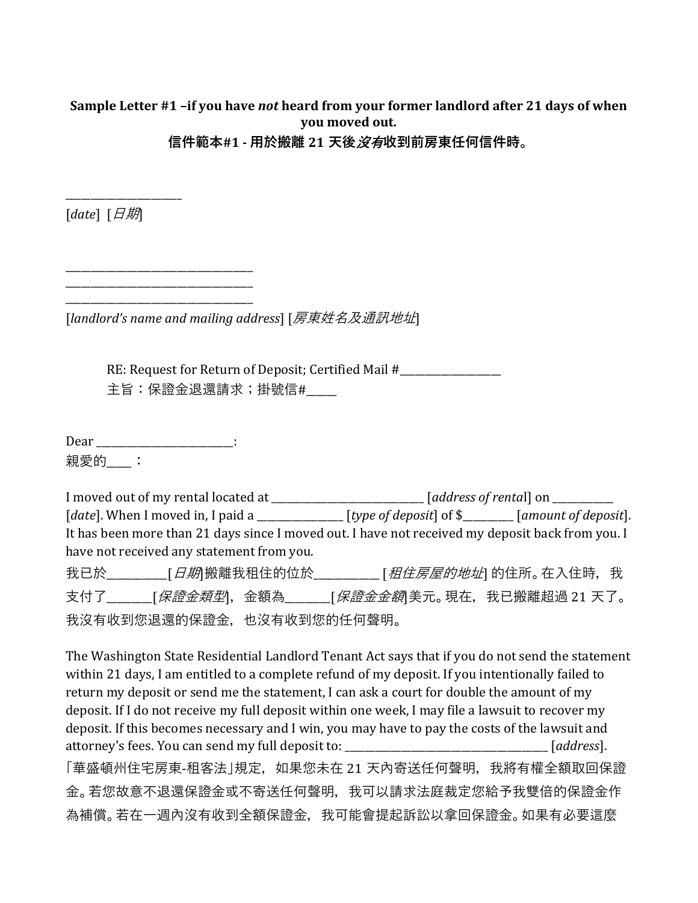# **Sample Letter #1 –if you have** *not* **heard from your former landlord after 21 days of when you moved out.**

**信件範本#1 - 用於搬離 21 天後**沒有**收到前房東任何信件時。**

[*date*] [日期]

\_\_\_\_\_\_\_\_\_\_\_\_\_\_\_\_\_\_\_\_\_\_\_

[*landlord's name and mailing address*] [房東姓名及通訊地址]

RE: Request for Return of Deposit; Certified Mail #\_\_\_\_\_\_\_\_\_\_\_\_\_\_\_\_\_\_\_\_\_\_\_\_\_\_\_\_\_ 主旨:保證金退還請求;掛號信#

Dear \_\_\_\_\_\_\_\_\_\_\_\_\_\_\_\_\_\_\_\_\_\_\_\_\_\_\_\_\_: 親愛的\_\_\_:

\_\_\_\_\_\_\_\_\_\_\_\_\_\_\_\_\_\_\_\_\_\_\_\_\_\_\_\_\_\_\_\_\_\_\_\_\_ \_\_\_\_\_\_\_\_\_\_\_\_\_\_\_\_\_\_\_\_\_\_\_\_\_\_\_\_\_\_\_\_\_\_\_\_\_ \_\_\_\_\_\_\_\_\_\_\_\_\_\_\_\_\_\_\_\_\_\_\_\_\_\_\_\_\_\_\_\_\_\_\_\_\_

I moved out of my rental located at \_\_\_\_\_\_\_\_\_\_\_\_\_\_\_\_\_\_\_\_\_\_\_\_\_\_\_\_\_\_ [*address of renta*l] on \_\_\_\_\_\_\_\_\_\_\_\_ [*date*]. When I moved in, I paid a \_\_\_\_\_\_\_\_\_\_\_\_\_\_\_\_\_ [*type of deposit*] of \$\_\_\_\_\_\_\_\_\_\_ [*amount of deposit*]. It has been more than 21 days since I moved out. I have not received my deposit back from you. I have not received any statement from you. 我已於\_\_\_\_\_\_\_\_\_\_\_\_[日期]搬離我租住的位於\_\_\_\_\_\_\_\_\_\_\_\_\_ [租住房屋的地址] 的住所。在入住時,我 支付了\_\_\_\_\_\_\_[*保證金類型*],金額為\_\_\_\_\_\_\_[*保證金金額*|美元。現在,我已搬離超過 21 天了。 我沒有收到您退還的保證金,也沒有收到您的任何聲明。

The Washington State Residential Landlord Tenant Act says that if you do not send the statement within 21 days, I am entitled to a complete refund of my deposit. If you intentionally failed to return my deposit or send me the statement, I can ask a court for double the amount of my deposit. If I do not receive my full deposit within one week, I may file a lawsuit to recover my deposit. If this becomes necessary and I win, you may have to pay the costs of the lawsuit and attorney's fees. You can send my full deposit to: \_\_\_\_\_\_\_\_\_\_\_\_\_\_\_\_\_\_\_\_\_\_\_\_\_\_\_\_\_\_\_\_\_\_\_\_\_\_\_\_ [*address*]. 「華盛頓州住宅房東-租客法 |規定,如果您未在 21 天內寄送任何聲明,我將有權全額取回保證 金。若您故意不退還保證金或不寄送任何聲明,我可以請求法庭裁定您給予我雙倍的保證金作 為補償。若在一週內沒有收到全額保證金,我可能會提起訴訟以拿回保證金。如果有必要這麼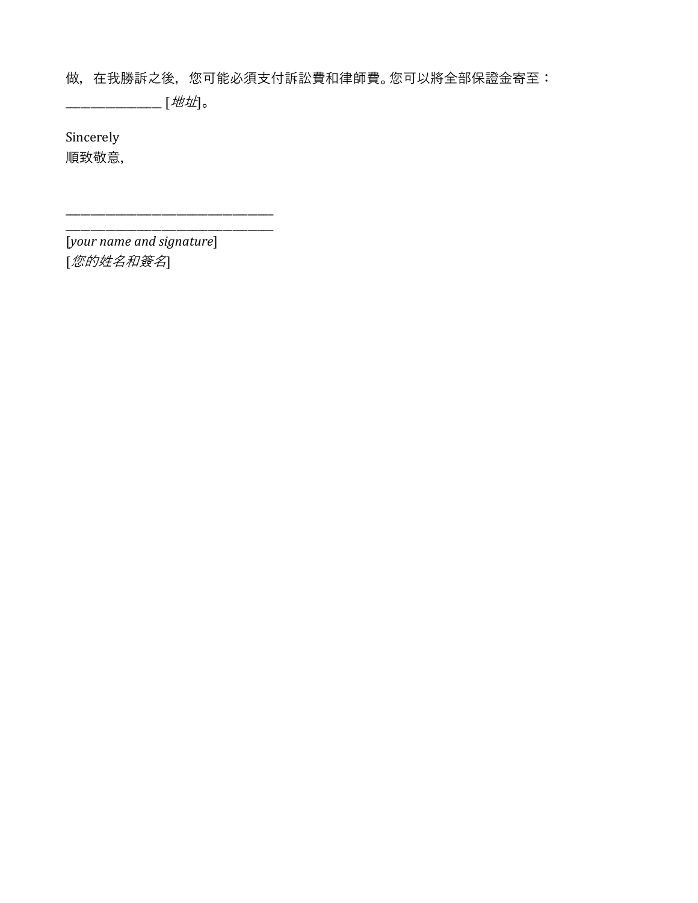做,在我勝訴之後,您可能必須支付訴訟費和律師費。您可以將全部保證金寄至:

\_\_\_\_\_\_\_\_\_\_\_\_\_\_\_\_\_\_\_ [地址]。

Sincerely 順致敬意,

\_\_\_\_\_\_\_\_\_\_\_\_\_\_\_\_\_\_\_\_\_\_\_\_\_\_\_\_\_\_\_\_\_\_\_\_\_\_\_\_\_ [*your name and signature*] [您的姓名和簽名]

\_\_\_\_\_\_\_\_\_\_\_\_\_\_\_\_\_\_\_\_\_\_\_\_\_\_\_\_\_\_\_\_\_\_\_\_\_\_\_\_\_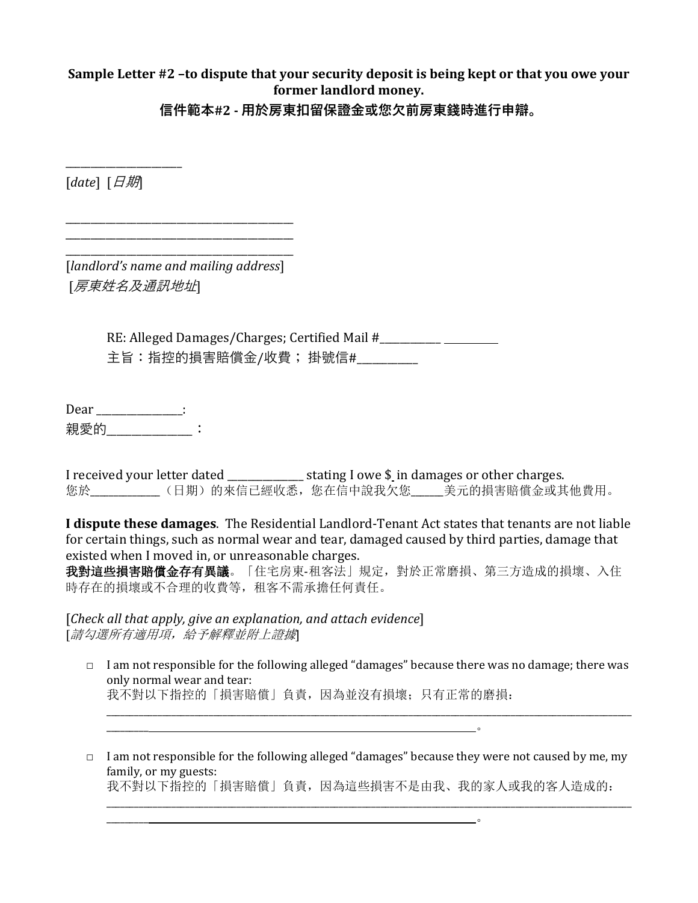### **Sample Letter #2 –to dispute that your security deposit is being kept or that you owe your former landlord money.**

**信件範本#2 - 用於房東扣留保證金或您欠前房東錢時進行申辯。**

[*date*] [日期]

\_\_\_\_\_\_\_\_\_\_\_\_\_\_\_\_\_\_\_\_\_\_\_

\_\_\_\_\_\_\_\_\_\_\_\_\_\_\_\_\_\_\_\_\_\_\_\_\_\_\_\_\_\_\_\_\_\_\_\_\_\_\_\_\_\_\_\_\_ [*landlord's name and mailing address*] [房東姓名及通訊地址]

\_\_\_\_\_\_\_\_\_\_\_\_\_\_\_\_\_\_\_\_\_\_\_\_\_\_\_\_\_\_\_\_\_\_\_\_\_\_\_\_\_\_\_\_\_ \_\_\_\_\_\_\_\_\_\_\_\_\_\_\_\_\_\_\_\_\_\_\_\_\_\_\_\_\_\_\_\_\_\_\_\_\_\_\_\_\_\_\_\_\_

> RE: Alleged Damages/Charges; Certified Mail #\_\_\_\_\_\_\_\_\_\_\_\_\_\_\_\_\_\_\_\_\_\_\_\_\_\_\_\_\_\_\_\_\_\_\_ 主旨:指控的損害賠償金/收費; 掛號信#\_\_\_\_\_\_\_\_\_\_\_\_\_\_\_\_\_\_\_\_\_\_\_\_\_\_\_\_\_\_\_\_\_\_

Dear \_\_\_\_\_\_\_\_\_\_\_\_\_\_\_\_: 親愛的 なんじょう きょうこう

I received your letter dated \_\_\_\_\_\_\_\_\_\_\_\_\_\_ stating I owe \$ in damages or other charges. 您於\_\_\_\_\_\_\_\_\_\_\_\_\_\_\_(日期)的來信已經收悉,您在信中說我欠您\_\_\_\_\_\_\_美元的損害賠償金或其他費用。

**I dispute these damages**. The Residential Landlord-Tenant Act states that tenants are not liable for certain things, such as normal wear and tear, damaged caused by third parties, damage that existed when I moved in, or unreasonable charges.

我對這些損害賠償金存有異議。「住宅房東-租客法」規定,對於正常磨損、第三方造成的損壞、入住 時存在的損壞或不合理的收費等,租客不需承擔任何責任。

[*Check all that apply, give an explanation, and attach evidence*] [請勾選所有適用項,給予解釋並附上證據]

 $\Box$  I am not responsible for the following alleged "damages" because there was no damage; there was only normal wear and tear: 我不對以下指控的「損害賠償」負責,因為並沒有損壞;只有正常的磨損:

\_\_\_\_\_\_\_\_\_\_\_\_\_\_\_\_\_\_\_\_\_\_\_\_\_\_\_\_\_\_\_\_\_\_\_\_\_\_\_\_\_\_\_\_\_\_\_\_\_\_\_\_\_\_\_\_\_\_\_\_\_\_\_\_\_\_\_\_\_\_\_\_\_\_\_\_\_\_\_\_\_\_\_\_\_\_\_\_\_\_\_\_\_\_\_\_\_\_\_\_\_\_\_\_\_\_\_\_\_\_\_\_\_

□ I am not responsible for the following alleged "damages" because they were not caused by me, my family, or my guests:

\_\_\_\_\_\_\_\_\_ 。

\_\_\_\_\_\_\_\_\_ 。

我不對以下指控的「損害賠償」負責,因為這些損害不是由我、我的家人或我的客人造成的: \_\_\_\_\_\_\_\_\_\_\_\_\_\_\_\_\_\_\_\_\_\_\_\_\_\_\_\_\_\_\_\_\_\_\_\_\_\_\_\_\_\_\_\_\_\_\_\_\_\_\_\_\_\_\_\_\_\_\_\_\_\_\_\_\_\_\_\_\_\_\_\_\_\_\_\_\_\_\_\_\_\_\_\_\_\_\_\_\_\_\_\_\_\_\_\_\_\_\_\_\_\_\_\_\_\_\_\_\_\_\_\_\_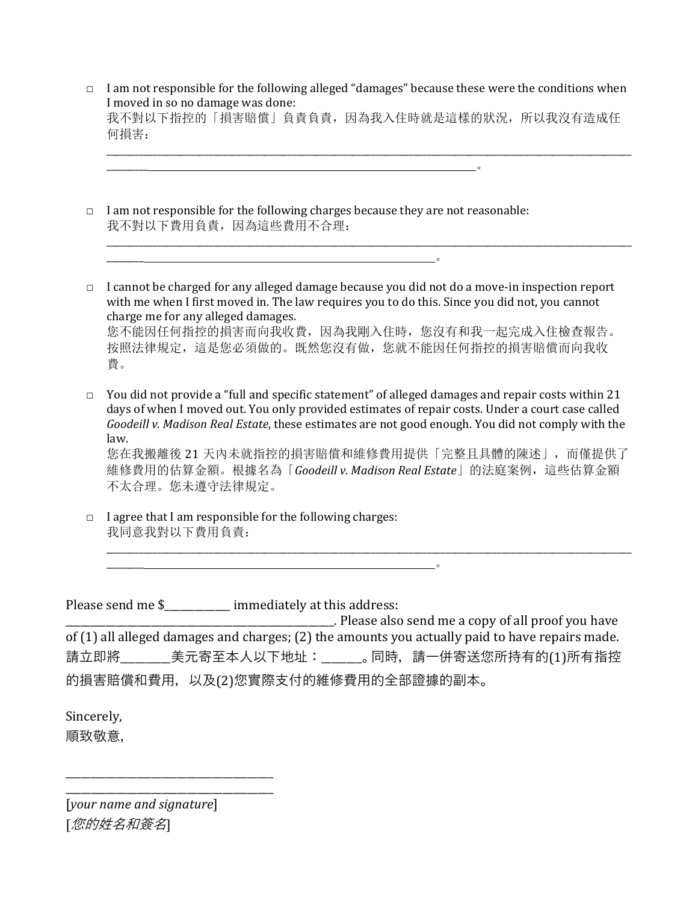□ I am not responsible for the following alleged "damages" because these were the conditions when I moved in so no damage was done: 我不對以下指控的「損害賠償」負責負責,因為我入住時就是這樣的狀況,所以我沒有造成任 何損害:

\_\_\_\_\_\_\_\_\_\_\_\_\_\_\_\_\_\_\_\_\_\_\_\_\_\_\_\_\_\_\_\_\_\_\_\_\_\_\_\_\_\_\_\_\_\_\_\_\_\_\_\_\_\_\_\_\_\_\_\_\_\_\_\_\_\_\_\_\_\_\_\_\_\_\_\_\_\_\_\_\_\_\_\_\_\_\_\_\_\_\_\_\_\_\_\_\_\_\_\_\_\_\_\_\_\_\_\_\_\_\_\_\_

\_\_\_\_\_\_\_\_\_\_\_\_\_\_\_\_\_\_\_\_\_\_\_\_\_\_\_\_\_\_\_\_\_\_\_\_\_\_\_\_\_\_\_\_\_\_\_\_\_\_\_\_\_\_\_\_\_\_\_\_\_\_\_\_\_\_\_\_\_\_\_\_\_\_\_\_\_\_\_\_\_\_\_\_\_\_\_\_\_\_\_\_\_\_\_\_\_\_\_\_\_\_\_\_\_\_\_\_\_\_\_\_\_

 $\Box$  I am not responsible for the following charges because they are not reasonable: 我不對以下費用負責,因為這些費用不合理:

 $\overline{\phantom{a}}$ 

 $\overline{\phantom{a}}$  , which is a set of the contract of the contract of the contract of the contract of the contract of the contract of the contract of the contract of the contract of the contract of the contract of the contract

- □ I cannot be charged for any alleged damage because you did not do a move-in inspection report with me when I first moved in. The law requires you to do this. Since you did not, you cannot charge me for any alleged damages. 您不能因任何指控的損害而向我收費,因為我剛入住時,您沒有和我一起完成入住檢查報告。 按照法律規定,這是您必須做的。既然您沒有做,您就不能因任何指控的損害賠償而向我收 費。
- $\Box$  You did not provide a "full and specific statement" of alleged damages and repair costs within 21 days of when I moved out. You only provided estimates of repair costs. Under a court case called *Goodeill v. Madison Real Estate*, these estimates are not good enough. You did not comply with the law.

您在我搬離後 21 天內未就指控的損害賠償和維修費用提供「完整且具體的陳述」,而僅提供了 維修費用的估算金額。根據名為「*Goodeill v. Madison Real Estate*」的法庭案例,這些估算金額 不太合理。您未遵守法律規定。

\_\_\_\_\_\_\_\_\_\_\_\_\_\_\_\_\_\_\_\_\_\_\_\_\_\_\_\_\_\_\_\_\_\_\_\_\_\_\_\_\_\_\_\_\_\_\_\_\_\_\_\_\_\_\_\_\_\_\_\_\_\_\_\_\_\_\_\_\_\_\_\_\_\_\_\_\_\_\_\_\_\_\_\_\_\_\_\_\_\_\_\_\_\_\_\_\_\_\_\_\_\_\_\_\_\_\_\_\_\_\_\_\_

 $\Box$  I agree that I am responsible for the following charges: 我同意我對以下費用負責:

\_\_\_\_\_\_\_\_ 。

Please send me \$\_\_\_\_\_\_\_\_\_\_\_\_ immediately at this address:

\_\_\_\_\_\_\_\_\_\_\_\_\_\_\_\_\_\_\_\_\_\_\_\_\_\_\_\_\_\_\_\_\_\_\_\_\_\_\_\_\_\_\_\_\_\_\_\_\_\_\_\_\_. Please also send me a copy of all proof you have of (1) all alleged damages and charges; (2) the amounts you actually paid to have repairs made. 請立即將\_\_\_\_\_\_\_\_\_美元寄至本人以下地址: \_\_\_\_\_\_\_。同時,請一併寄送您所持有的(1)所有指控 的損害賠償和費用,以及(2)您實際支付的維修費用的全部證據的副本。

Sincerely, 順致敬意,

\_\_\_\_\_\_\_\_\_\_\_\_\_\_\_\_\_\_\_\_\_\_\_\_\_\_\_\_\_\_\_\_\_\_\_\_\_\_\_\_\_ [*your name and signature*] [您的姓名和簽名]

\_\_\_\_\_\_\_\_\_\_\_\_\_\_\_\_\_\_\_\_\_\_\_\_\_\_\_\_\_\_\_\_\_\_\_\_\_\_\_\_\_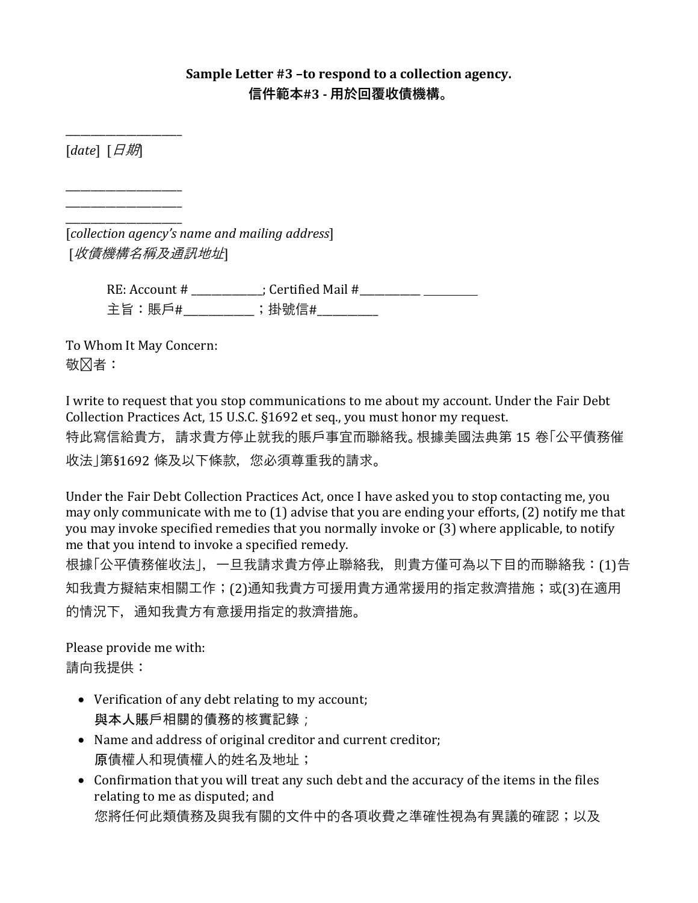## **Sample Letter #3 –to respond to a collection agency. 信件範本#3 - 用於回覆收債機構。**

[*date*] [日期]

 $\overline{\phantom{a}}$  , we can also the contract of  $\overline{\phantom{a}}$ \_\_\_\_\_\_\_\_\_\_\_\_\_\_\_\_\_\_\_\_\_\_\_

\_\_\_\_\_\_\_\_\_\_\_\_\_\_\_\_\_\_\_\_\_\_\_

 $\overline{\phantom{a}}$  , we can also the contract of  $\overline{\phantom{a}}$ [*collection agency's name and mailing address*] [收債機構名稱及通訊地址]

> RE: Account # \_\_\_\_\_\_\_\_\_\_\_\_\_\_; Certified Mail #\_\_\_\_\_\_\_\_\_\_\_\_ 主旨:賬戶#\_\_\_\_\_\_\_\_\_\_\_\_; 掛號信#\_\_\_\_\_\_\_\_\_\_\_

To Whom It May Concern: 敬冈者:

I write to request that you stop communications to me about my account. Under the Fair Debt Collection Practices Act, 15 U.S.C. §1692 et seq., you must honor my request. 特此寫信給貴方,請求貴方停止就我的賬戶事宜而聯絡我。根據美國法典第 15 卷「公平債務催 收法」第§1692 條及以下條款,您必須尊重我的請求。

Under the Fair Debt Collection Practices Act, once I have asked you to stop contacting me, you may only communicate with me to (1) advise that you are ending your efforts, (2) notify me that you may invoke specified remedies that you normally invoke or (3) where applicable, to notify me that you intend to invoke a specified remedy.

根據「公平債務催收法」,一旦我請求貴方停止聯絡我,則貴方僅可為以下目的而聯絡我:(1)告 知我貴方擬結束相關工作;(2)通知我貴方可援用貴方通常援用的指定救濟措施;或(3)在適用 的情況下,通知我貴方有意援用指定的救濟措施。

Please provide me with: 請向我提供:

- Verification of any debt relating to my account; 與本人賬戶相關的債務的核實記錄;
- Name and address of original creditor and current creditor; 原債權人和現債權人的姓名及地址;
- Confirmation that you will treat any such debt and the accuracy of the items in the files relating to me as disputed; and 您將任何此類債務及與我有關的文件中的各項收費之準確性視為有異議的確認;以及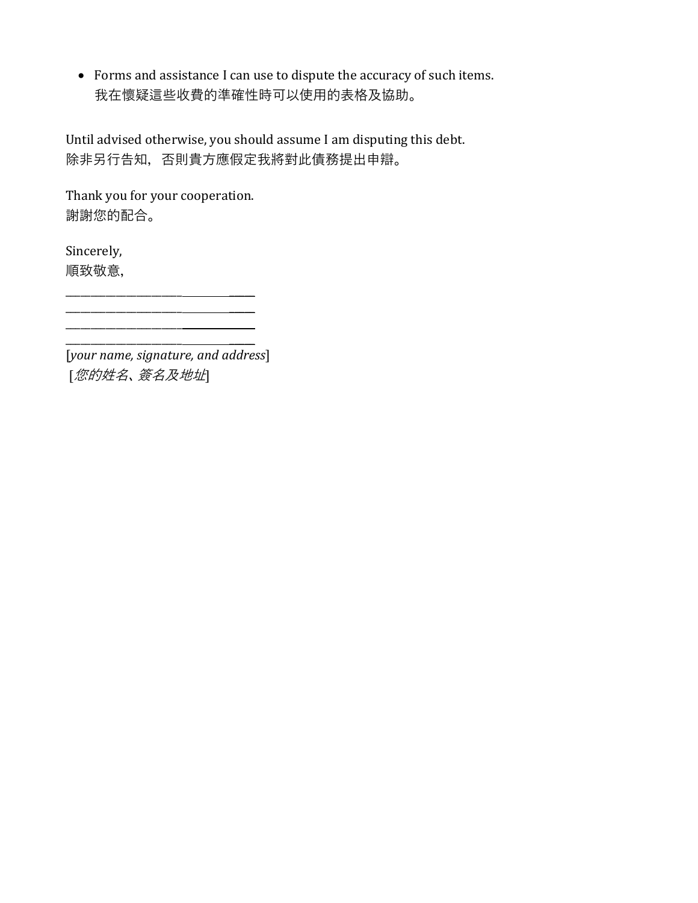• Forms and assistance I can use to dispute the accuracy of such items. 我在懷疑這些收費的準確性時可以使用的表格及協助。

Until advised otherwise, you should assume I am disputing this debt. 除非另行告知,否則貴方應假定我將對此債務提出申辯。

Thank you for your cooperation. 謝謝您的配合。

\_\_\_\_\_\_\_\_\_\_\_\_\_\_\_\_\_\_\_\_\_\_\_ \_\_\_\_\_

Sincerely, 順致敬意,

\_\_\_\_\_\_\_\_\_\_\_\_\_\_\_\_\_\_\_\_\_\_\_ \_\_\_\_\_ [*your name, signature, and address*] [您的姓名、簽名及地址]

 $\overline{\phantom{a}}$  ,  $\overline{\phantom{a}}$  ,  $\overline{\phantom{a}}$  ,  $\overline{\phantom{a}}$  ,  $\overline{\phantom{a}}$  ,  $\overline{\phantom{a}}$  ,  $\overline{\phantom{a}}$  ,  $\overline{\phantom{a}}$  ,  $\overline{\phantom{a}}$  ,  $\overline{\phantom{a}}$  ,  $\overline{\phantom{a}}$  ,  $\overline{\phantom{a}}$  ,  $\overline{\phantom{a}}$  ,  $\overline{\phantom{a}}$  ,  $\overline{\phantom{a}}$  ,  $\overline{\phantom{a}}$ 

 $\frac{1}{2}$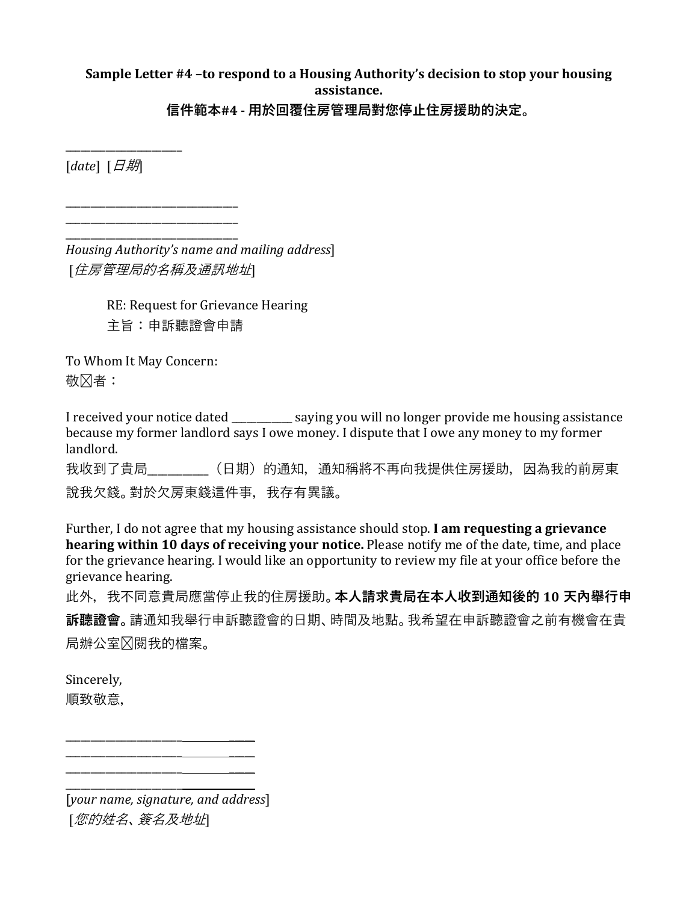# **Sample Letter #4 –to respond to a Housing Authority's decision to stop your housing assistance.**

**信件範本#4 - 用於回覆住房管理局對您停止住房援助的決定。**

[*date*] [日期]

 $\overline{\phantom{a}}$  , we can also the contract of  $\overline{\phantom{a}}$ 

\_\_\_\_\_\_\_\_\_\_\_\_\_\_\_\_\_\_\_\_\_\_\_\_\_\_\_\_\_\_\_\_\_\_ \_\_\_\_\_\_\_\_\_\_\_\_\_\_\_\_\_\_\_\_\_\_\_\_\_\_\_\_\_\_\_\_\_\_

\_\_\_\_\_\_\_\_\_\_\_\_\_\_\_\_\_\_\_\_\_\_\_\_\_\_\_\_\_\_\_\_\_\_ *Housing Authority's name and mailing address*] [*住房管理局的名稱及通訊地址*]

> RE: Request for Grievance Hearing 主旨:申訴聽證會申請

To Whom It May Concern: 敬冈者:

I received your notice dated \_\_\_\_\_\_\_\_\_\_\_\_ saying you will no longer provide me housing assistance because my former landlord says I owe money. I dispute that I owe any money to my former landlord. 我收到了貴局\_\_\_\_\_\_\_\_\_\_\_\_(日期)的通知,通知稱將不再向我提供住房援助,因為我的前房東 說我欠錢。對於欠房東錢這件事,我存有異議。

Further, I do not agree that my housing assistance should stop. **I am requesting a grievance hearing within 10 days of receiving your notice.** Please notify me of the date, time, and place for the grievance hearing. I would like an opportunity to review my file at your office before the grievance hearing.

此外,我不同意貴局應當停止我的住房援助。**本人請求貴局在本人收到通知後的 10 天內舉行申 訴聽證會。**請通知我舉行申訴聽證會的日期、時間及地點。我希望在申訴聽證會之前有機會在貴 局辦公室冈閱我的檔案。

Sincerely, 順致敬意,

\_\_\_\_\_\_\_\_\_\_\_\_\_\_\_\_\_\_\_\_\_\_\_ \_\_\_\_\_ [*your name, signature, and address*] [您的姓名、簽名及地址]

\_\_\_\_\_\_\_\_\_\_\_\_\_\_\_\_\_\_\_\_\_\_\_ \_\_\_\_\_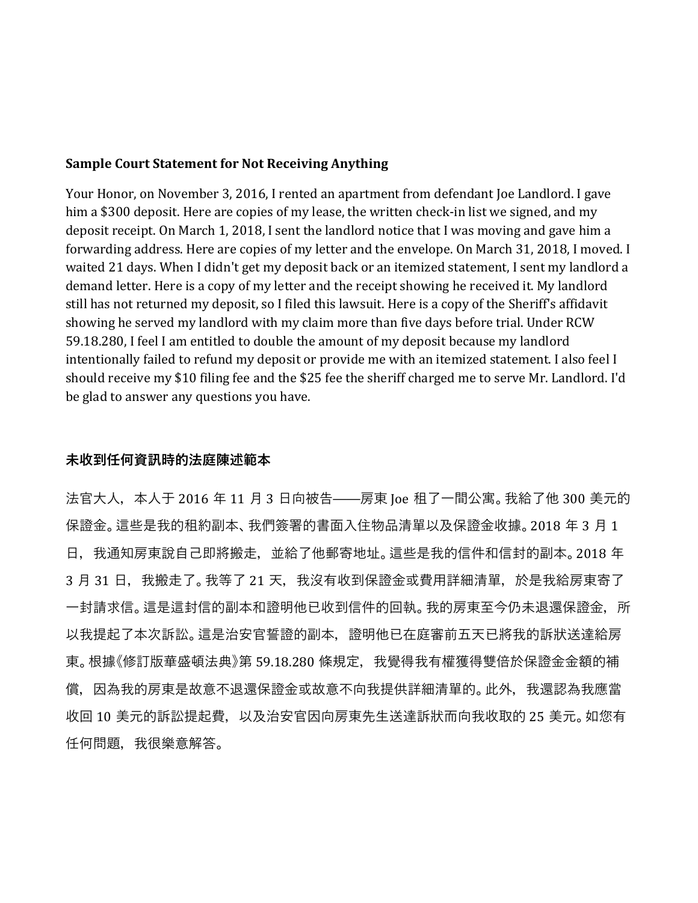#### **Sample Court Statement for Not Receiving Anything**

Your Honor, on November 3, 2016, I rented an apartment from defendant Joe Landlord. I gave him a \$300 deposit. Here are copies of my lease, the written check-in list we signed, and my deposit receipt. On March 1, 2018, I sent the landlord notice that I was moving and gave him a forwarding address. Here are copies of my letter and the envelope. On March 31, 2018, I moved. I waited 21 days. When I didn't get my deposit back or an itemized statement, I sent my landlord a demand letter. Here is a copy of my letter and the receipt showing he received it. My landlord still has not returned my deposit, so I filed this lawsuit. Here is a copy of the Sheriff's affidavit showing he served my landlord with my claim more than five days before trial. Under RCW 59.18.280, I feel I am entitled to double the amount of my deposit because my landlord intentionally failed to refund my deposit or provide me with an itemized statement. I also feel I should receive my \$10 filing fee and the \$25 fee the sheriff charged me to serve Mr. Landlord. I'd be glad to answer any questions you have.

#### **未收到任何資訊時的法庭陳述範本**

法官大人,本人于 2016 年 11 月 3 日向被告——房東 Joe 租了一間公寓。我給了他 300 美元的 保證金。這些是我的租約副本、我們簽署的書面入住物品清單以及保證金收據。2018 年 3 月 1 日,我通知房東說自己即將搬走,並給了他郵寄地址。這些是我的信件和信封的副本。2018 年 3月 31 日,我搬走了。我等了 21 天,我沒有收到保證金或費用詳細清單,於是我給房東寄了 一封請求信。這是這封信的副本和證明他已收到信件的回執。我的房東至今仍未退還保證金,所 以我提起了本次訴訟。這是治安官誓證的副本,證明他已在庭審前五天已將我的訴狀送達給房 東。根據《修訂版華盛頓法典》第 59.18.280 條規定,我覺得我有權獲得雙倍於保證金金額的補 償,因為我的房東是故意不退還保證金或故意不向我提供詳細清單的。此外,我還認為我應當 收回 10 美元的訴訟提起費,以及治安官因向房東先生送達訴狀而向我收取的 25 美元。如您有 任何問題,我很樂意解答。